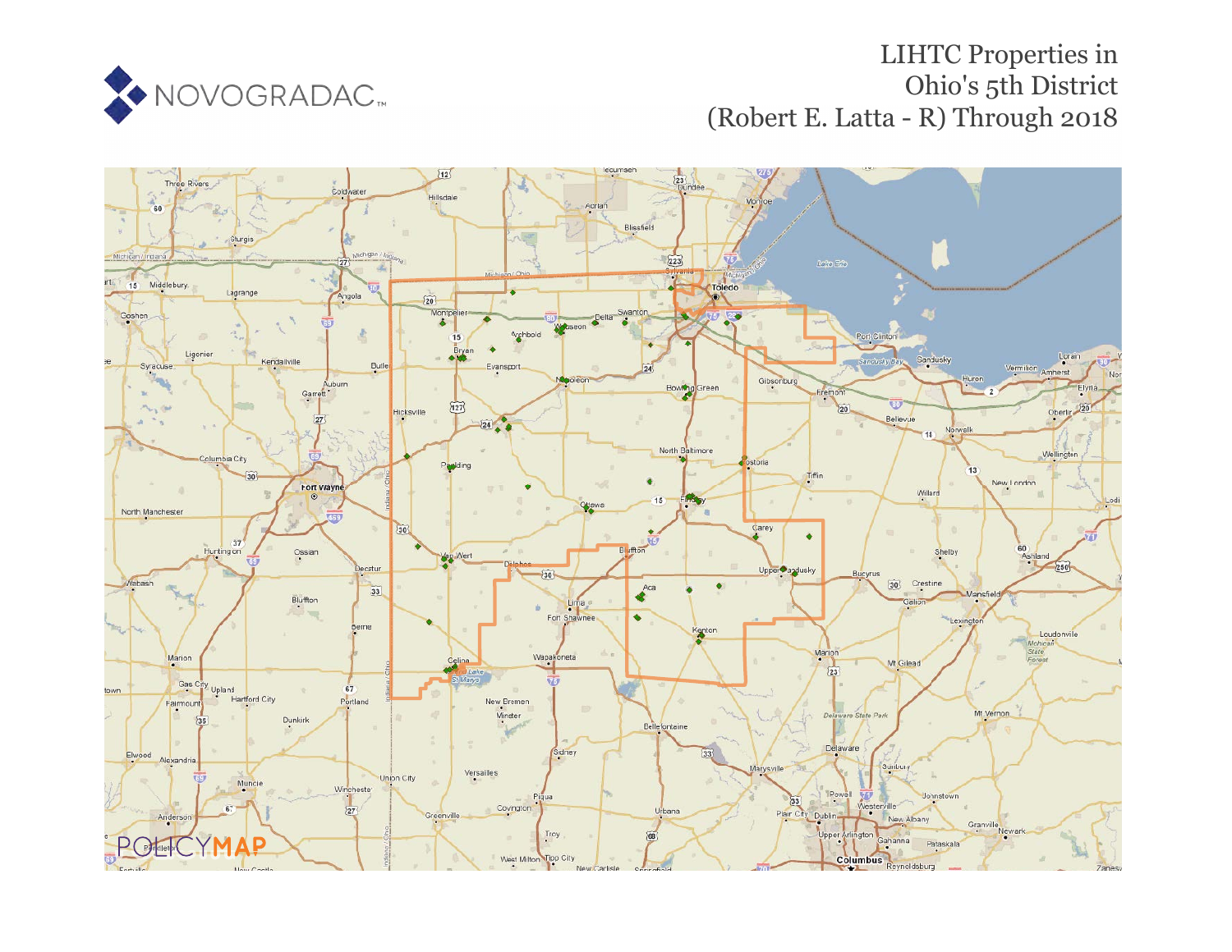

# LIHTC Properties in Ohio's 5th District (Robert E. Latta - R) Through 2018

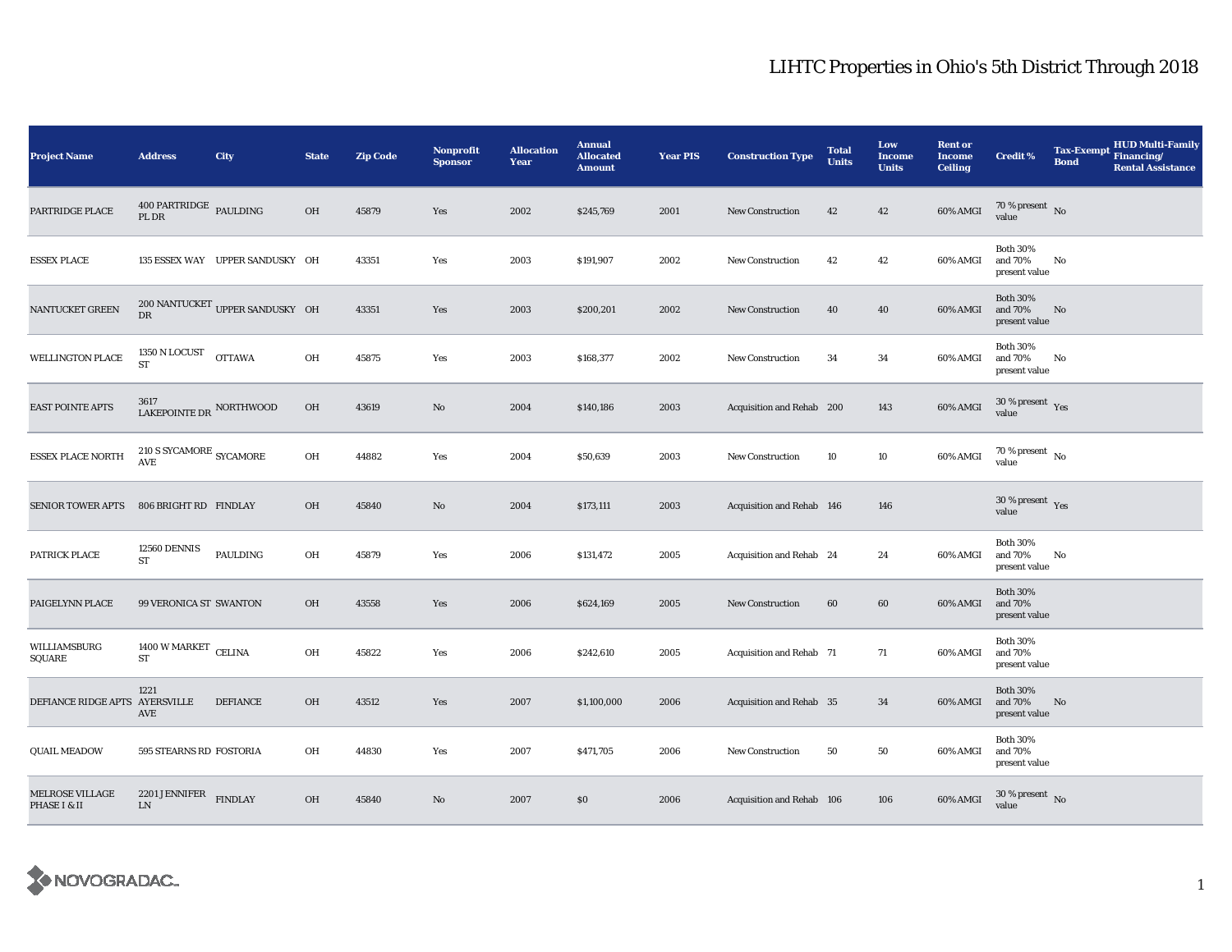| <b>Project Name</b>                    | <b>Address</b>                            | City                            | <b>State</b> | <b>Zip Code</b> | <b>Nonprofit</b><br><b>Sponsor</b> | <b>Allocation</b><br>Year | <b>Annual</b><br><b>Allocated</b><br><b>Amount</b> | <b>Year PIS</b> | <b>Construction Type</b>  | <b>Total</b><br><b>Units</b> | Low<br><b>Income</b><br><b>Units</b> | <b>Rent or</b><br><b>Income</b><br><b>Ceiling</b> | <b>Credit %</b>                             | <b>Bond</b> | <b>HUD Multi-Family</b><br>Tax-Exempt Financing/<br><b>Rental Assistance</b> |
|----------------------------------------|-------------------------------------------|---------------------------------|--------------|-----------------|------------------------------------|---------------------------|----------------------------------------------------|-----------------|---------------------------|------------------------------|--------------------------------------|---------------------------------------------------|---------------------------------------------|-------------|------------------------------------------------------------------------------|
| PARTRIDGE PLACE                        | $400$ PARTRIDGE $\,$ PAULDING<br>PL DR    |                                 | OH           | 45879           | Yes                                | 2002                      | \$245,769                                          | 2001            | <b>New Construction</b>   | 42                           | 42                                   | 60% AMGI                                          | $70\,\%$ present $\,$ No value              |             |                                                                              |
| <b>ESSEX PLACE</b>                     |                                           | 135 ESSEX WAY UPPER SANDUSKY OH |              | 43351           | Yes                                | 2003                      | \$191,907                                          | 2002            | <b>New Construction</b>   | 42                           | 42                                   | 60% AMGI                                          | <b>Both 30%</b><br>and 70%<br>present value | No          |                                                                              |
| NANTUCKET GREEN                        | DR                                        | 200 NANTUCKET UPPER SANDUSKY OH |              | 43351           | Yes                                | 2003                      | \$200,201                                          | 2002            | <b>New Construction</b>   | 40                           | 40                                   | 60% AMGI                                          | <b>Both 30%</b><br>and 70%<br>present value | No          |                                                                              |
| <b>WELLINGTON PLACE</b>                | 1350 N LOCUST<br><b>ST</b>                | <b>OTTAWA</b>                   | OH           | 45875           | Yes                                | 2003                      | \$168,377                                          | 2002            | New Construction          | 34                           | 34                                   | 60% AMGI                                          | <b>Both 30%</b><br>and 70%<br>present value | No          |                                                                              |
| <b>EAST POINTE APTS</b>                | 3617<br>LAKEPOINTE DR NORTHWOOD           |                                 | OH           | 43619           | $\mathbf{N}\mathbf{o}$             | 2004                      | \$140,186                                          | 2003            | Acquisition and Rehab 200 |                              | 143                                  | 60% AMGI                                          | $30$ % present $\,$ $\rm Yes$<br>value      |             |                                                                              |
| <b>ESSEX PLACE NORTH</b>               | $210$ S SYCAMORE $_{\rm SYCAMORE}$<br>AVE |                                 | OH           | 44882           | Yes                                | 2004                      | \$50,639                                           | 2003            | New Construction          | 10                           | 10                                   | 60% AMGI                                          | $70$ % present $\,$ No $\,$<br>value        |             |                                                                              |
| <b>SENIOR TOWER APTS</b>               | 806 BRIGHT RD FINDLAY                     |                                 | OH           | 45840           | No                                 | 2004                      | \$173,111                                          | 2003            | Acquisition and Rehab 146 |                              | 146                                  |                                                   | $30\,\%$ present $\,$ Yes value             |             |                                                                              |
| PATRICK PLACE                          | 12560 DENNIS<br><b>ST</b>                 | PAULDING                        | OH           | 45879           | Yes                                | 2006                      | \$131,472                                          | 2005            | Acquisition and Rehab 24  |                              | 24                                   | 60% AMGI                                          | <b>Both 30%</b><br>and 70%<br>present value | No          |                                                                              |
| PAIGELYNN PLACE                        | 99 VERONICA ST SWANTON                    |                                 | OH           | 43558           | Yes                                | 2006                      | \$624,169                                          | 2005            | New Construction          | 60                           | 60                                   | 60% AMGI                                          | <b>Both 30%</b><br>and 70%<br>present value |             |                                                                              |
| WILLIAMSBURG<br>SQUARE                 | 1400 W MARKET CELINA<br><b>ST</b>         |                                 | OH           | 45822           | Yes                                | 2006                      | \$242,610                                          | 2005            | Acquisition and Rehab 71  |                              | 71                                   | 60% AMGI                                          | <b>Both 30%</b><br>and 70%<br>present value |             |                                                                              |
| DEFIANCE RIDGE APTS AYERSVILLE         | 1221<br>AVE                               | <b>DEFIANCE</b>                 | OH           | 43512           | Yes                                | 2007                      | \$1,100,000                                        | 2006            | Acquisition and Rehab 35  |                              | 34                                   | 60% AMGI                                          | <b>Both 30%</b><br>and 70%<br>present value | No          |                                                                              |
| <b>QUAIL MEADOW</b>                    | 595 STEARNS RD FOSTORIA                   |                                 | OH           | 44830           | Yes                                | 2007                      | \$471,705                                          | 2006            | <b>New Construction</b>   | 50                           | 50                                   | 60% AMGI                                          | <b>Both 30%</b><br>and 70%<br>present value |             |                                                                              |
| <b>MELROSE VILLAGE</b><br>PHASE I & II | 2201 JENNIFER<br>${\rm LN}$               | <b>FINDLAY</b>                  | OH           | 45840           | No                                 | 2007                      | \$0                                                | 2006            | Acquisition and Rehab 106 |                              | 106                                  | 60% AMGI                                          | $30\,\%$ present $\,$ No value              |             |                                                                              |

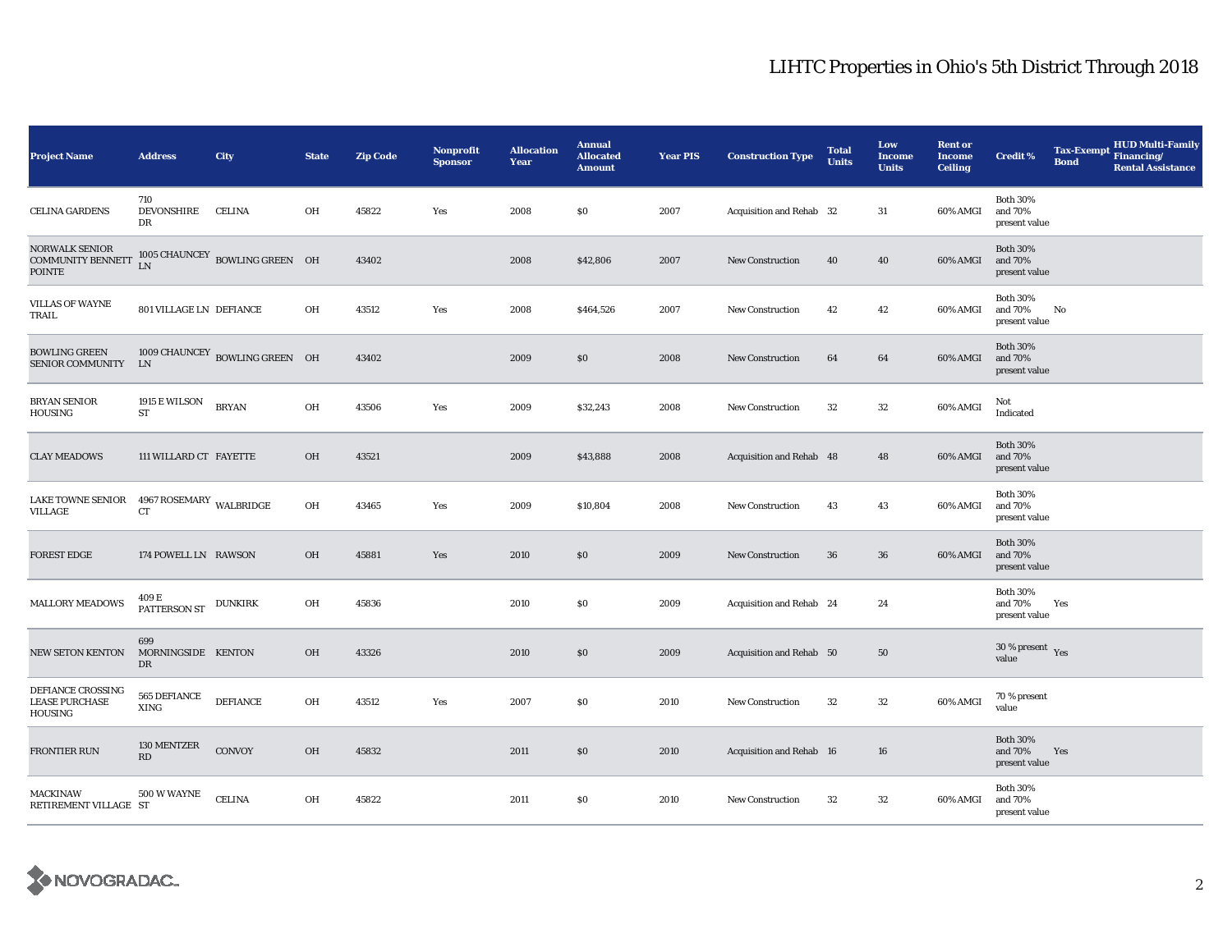| <b>Project Name</b>                                                | <b>Address</b>                        | City                           | <b>State</b>  | <b>Zip Code</b> | <b>Nonprofit</b><br><b>Sponsor</b> | <b>Allocation</b><br>Year | <b>Annual</b><br><b>Allocated</b><br><b>Amount</b> | <b>Year PIS</b> | <b>Construction Type</b> | <b>Total</b><br><b>Units</b> | Low<br><b>Income</b><br><b>Units</b> | <b>Rent or</b><br><b>Income</b><br><b>Ceiling</b> | Credit %                                        | <b>Tax-Exempt</b><br><b>Bond</b> | <b>HUD Multi-Family</b><br>Financing/<br><b>Rental Assistance</b> |
|--------------------------------------------------------------------|---------------------------------------|--------------------------------|---------------|-----------------|------------------------------------|---------------------------|----------------------------------------------------|-----------------|--------------------------|------------------------------|--------------------------------------|---------------------------------------------------|-------------------------------------------------|----------------------------------|-------------------------------------------------------------------|
| <b>CELINA GARDENS</b>                                              | 710<br>DEVONSHIRE<br>DR               | <b>CELINA</b>                  | OH            | 45822           | Yes                                | 2008                      | \$0                                                | 2007            | Acquisition and Rehab 32 |                              | 31                                   | 60% AMGI                                          | <b>Both 30%</b><br>and 70%<br>present value     |                                  |                                                                   |
| <b>NORWALK SENIOR</b><br><b>COMMUNITY BENNETT</b><br><b>POINTE</b> | LN                                    | 1005 CHAUNCEY BOWLING GREEN OH |               | 43402           |                                    | 2008                      | \$42,806                                           | 2007            | New Construction         | 40                           | 40                                   | 60% AMGI                                          | <b>Both 30%</b><br>and 70%<br>present value     |                                  |                                                                   |
| <b>VILLAS OF WAYNE</b><br>TRAIL                                    | 801 VILLAGE LN DEFIANCE               |                                | OH            | 43512           | Yes                                | 2008                      | \$464,526                                          | 2007            | New Construction         | 42                           | 42                                   | 60% AMGI                                          | <b>Both 30%</b><br>and 70%<br>present value     | No                               |                                                                   |
| <b>BOWLING GREEN</b><br><b>SENIOR COMMUNITY</b>                    | <b>LN</b>                             | 1009 CHAUNCEY BOWLING GREEN OH |               | 43402           |                                    | 2009                      | \$0                                                | 2008            | <b>New Construction</b>  | 64                           | 64                                   | 60% AMGI                                          | <b>Both 30%</b><br>and 70%<br>present value     |                                  |                                                                   |
| <b>BRYAN SENIOR</b><br><b>HOUSING</b>                              | 1915 E WILSON<br>${\rm ST}$           | <b>BRYAN</b>                   | OH            | 43506           | Yes                                | 2009                      | \$32,243                                           | 2008            | New Construction         | 32                           | $32\,$                               | 60% AMGI                                          | Not<br>Indicated                                |                                  |                                                                   |
| <b>CLAY MEADOWS</b>                                                | 111 WILLARD CT FAYETTE                |                                | OH            | 43521           |                                    | 2009                      | \$43,888                                           | 2008            | Acquisition and Rehab 48 |                              | 48                                   | 60% AMGI                                          | <b>Both 30%</b><br>and 70%<br>present value     |                                  |                                                                   |
| LAKE TOWNE SENIOR 4967 ROSEMARY WALBRIDGE<br>VILLAGE               | CT                                    |                                | OH            | 43465           | Yes                                | 2009                      | \$10,804                                           | 2008            | <b>New Construction</b>  | 43                           | 43                                   | 60% AMGI                                          | <b>Both 30%</b><br>and 70%<br>present value     |                                  |                                                                   |
| <b>FOREST EDGE</b>                                                 | 174 POWELL LN RAWSON                  |                                | OH            | 45881           | Yes                                | 2010                      | \$0                                                | 2009            | <b>New Construction</b>  | 36                           | 36                                   | 60% AMGI                                          | <b>Both 30%</b><br>and 70%<br>present value     |                                  |                                                                   |
| <b>MALLORY MEADOWS</b>                                             | 409 E<br>PATTERSON ST DUNKIRK         |                                | OH            | 45836           |                                    | 2010                      | \$0                                                | 2009            | Acquisition and Rehab 24 |                              | 24                                   |                                                   | <b>Both 30%</b><br>and 70%<br>present value     | Yes                              |                                                                   |
| NEW SETON KENTON                                                   | 699<br>MORNINGSIDE KENTON<br>DR       |                                | OH            | 43326           |                                    | 2010                      | \$0                                                | 2009            | Acquisition and Rehab 50 |                              | 50                                   |                                                   | $30\,\%$ present $\rm\thinspace_{Yes}$<br>value |                                  |                                                                   |
| DEFIANCE CROSSING<br><b>LEASE PURCHASE</b><br><b>HOUSING</b>       | 565 DEFIANCE<br><b>XING</b>           | <b>DEFIANCE</b>                | OH            | 43512           | Yes                                | 2007                      | \$0                                                | 2010            | <b>New Construction</b>  | 32                           | 32                                   | 60% AMGI                                          | 70 % present<br>value                           |                                  |                                                                   |
| FRONTIER RUN                                                       | 130 MENTZER<br>$\mathbf{R}\mathbf{D}$ | CONVOY                         | $O\mathrm{H}$ | 45832           |                                    | 2011                      | \$0                                                | 2010            | Acquisition and Rehab 16 |                              | 16                                   |                                                   | <b>Both 30%</b><br>and 70%<br>present value     | Yes                              |                                                                   |
| <b>MACKINAW</b><br>RETIREMENT VILLAGE ST                           | 500 W WAYNE                           | <b>CELINA</b>                  | OH            | 45822           |                                    | 2011                      | \$0                                                | 2010            | New Construction         | 32                           | $32\,$                               | 60% AMGI                                          | <b>Both 30%</b><br>and 70%<br>present value     |                                  |                                                                   |

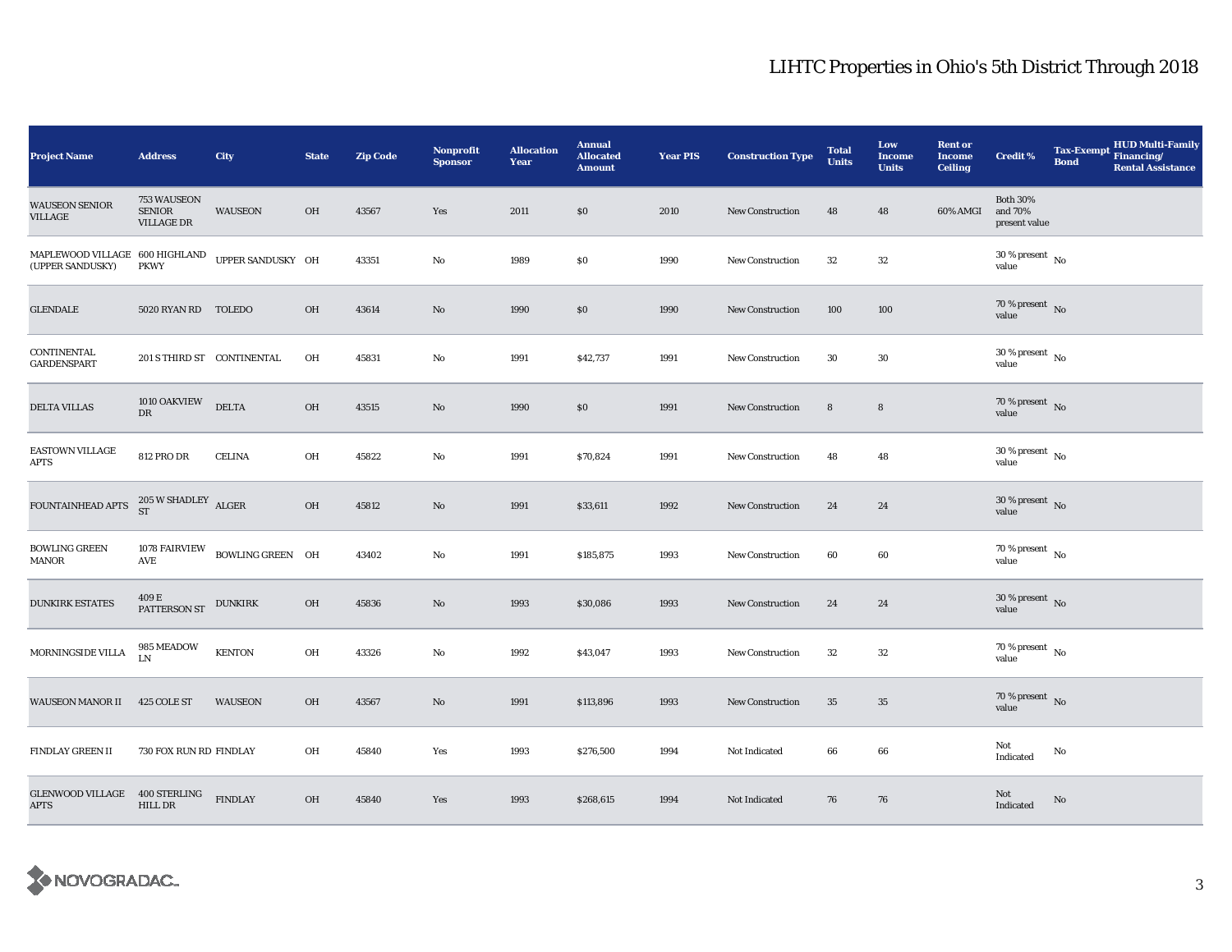| Project Name                                                                                                                                           | <b>Address</b>                                    | City                           | <b>State</b> | <b>Zip Code</b> | <b>Nonprofit</b><br><b>Sponsor</b> | <b>Allocation</b><br>Year | <b>Annual</b><br><b>Allocated</b><br><b>Amount</b> | <b>Year PIS</b> | <b>Construction Type</b> | <b>Total</b><br><b>Units</b> | Low<br><b>Income</b><br><b>Units</b> | <b>Rent or</b><br><b>Income</b><br><b>Ceiling</b> | <b>Credit %</b>                             | <b>Tax-Exempt</b><br><b>Bond</b> | HUD Multi-Family<br>Financing/<br><b>Rental Assistance</b> |
|--------------------------------------------------------------------------------------------------------------------------------------------------------|---------------------------------------------------|--------------------------------|--------------|-----------------|------------------------------------|---------------------------|----------------------------------------------------|-----------------|--------------------------|------------------------------|--------------------------------------|---------------------------------------------------|---------------------------------------------|----------------------------------|------------------------------------------------------------|
| <b>WAUSEON SENIOR</b><br>VILLAGE                                                                                                                       | 753 WAUSEON<br><b>SENIOR</b><br><b>VILLAGE DR</b> | <b>WAUSEON</b>                 | OH           | 43567           | Yes                                | 2011                      | \$0                                                | 2010            | <b>New Construction</b>  | 48                           | 48                                   | 60% AMGI                                          | <b>Both 30%</b><br>and 70%<br>present value |                                  |                                                            |
| $\begin{tabular}{lllllllllll} \bf{MAPLEWOOD\ VILLAGE & 600\,HIGHLAND & \bf{UPPER\,SANDUSKY & OH} \\ \bf{(UPPER\,SANDUSKY) & \bf{PKWY} & \end{tabular}$ |                                                   |                                |              | 43351           | No                                 | 1989                      | $\$0$                                              | 1990            | New Construction         | $32\,$                       | $32\,$                               |                                                   | $30\,\%$ present $\,$ No value              |                                  |                                                            |
| <b>GLENDALE</b>                                                                                                                                        | 5020 RYAN RD TOLEDO                               |                                | OH           | 43614           | No                                 | 1990                      | \$0                                                | 1990            | <b>New Construction</b>  | 100                          | 100                                  |                                                   | $70\,\%$ present $\,$ No value              |                                  |                                                            |
| CONTINENTAL<br><b>GARDENSPART</b>                                                                                                                      | 201 S THIRD ST CONTINENTAL                        |                                | OH           | 45831           | No                                 | 1991                      | \$42,737                                           | 1991            | New Construction         | $30\,$                       | $30\,$                               |                                                   | $30\,\%$ present $\,$ No value              |                                  |                                                            |
| <b>DELTA VILLAS</b>                                                                                                                                    | 1010 OAKVIEW<br>$_{\rm DR}$                       | <b>DELTA</b>                   | OH           | 43515           | No                                 | 1990                      | \$0                                                | 1991            | New Construction         | $\bf8$                       | $\bf 8$                              |                                                   | $70\,\%$ present $\,$ No value              |                                  |                                                            |
| EASTOWN VILLAGE<br><b>APTS</b>                                                                                                                         | <b>812 PRO DR</b>                                 | <b>CELINA</b>                  | OH           | 45822           | $\rm No$                           | 1991                      | \$70,824                                           | 1991            | New Construction         | 48                           | 48                                   |                                                   | $30$ % present $\,$ No $\,$<br>value        |                                  |                                                            |
| FOUNTAINHEAD APTS                                                                                                                                      | $205\,\mathrm{W}$ SHADLEY $$\,\mathrm{ALGER}$$ ST |                                | OH           | 45812           | $\mathbf{N}\mathbf{o}$             | 1991                      | \$33,611                                           | 1992            | New Construction         | 24                           | 24                                   |                                                   | $30\,\%$ present $\,$ No value              |                                  |                                                            |
| <b>BOWLING GREEN</b><br><b>MANOR</b>                                                                                                                   | AVE                                               | 1078 FAIRVIEW BOWLING GREEN OH |              | 43402           | $\rm No$                           | 1991                      | \$185,875                                          | 1993            | <b>New Construction</b>  | 60                           | 60                                   |                                                   | $70\,\%$ present $\,$ No value              |                                  |                                                            |
| <b>DUNKIRK ESTATES</b>                                                                                                                                 | $409\,\mathrm{E}$ PATTERSON ST $\;$ DUNKIRK       |                                | OH           | 45836           | $\mathbf{N}\mathbf{o}$             | 1993                      | \$30,086                                           | 1993            | New Construction         | 24                           | 24                                   |                                                   | $30\,\%$ present $\,$ No value              |                                  |                                                            |
| MORNINGSIDE VILLA                                                                                                                                      | 985 MEADOW<br>LN                                  | <b>KENTON</b>                  | OH           | 43326           | $\rm No$                           | 1992                      | \$43,047                                           | 1993            | New Construction         | 32                           | 32                                   |                                                   | $70$ % present $\,$ No $\,$<br>value        |                                  |                                                            |
| <b>WAUSEON MANOR II</b>                                                                                                                                | 425 COLE ST                                       | <b>WAUSEON</b>                 | <b>OH</b>    | 43567           | $\rm No$                           | 1991                      | \$113,896                                          | 1993            | New Construction         | 35                           | $35\,$                               |                                                   | 70 % present $\hbox{~No}$<br>value          |                                  |                                                            |
| <b>FINDLAY GREEN II</b>                                                                                                                                | 730 FOX RUN RD FINDLAY                            |                                | OH           | 45840           | Yes                                | 1993                      | \$276,500                                          | 1994            | Not Indicated            | 66                           | 66                                   |                                                   | Not<br>Indicated                            | No                               |                                                            |
| GLENWOOD VILLAGE 400 STERLING<br><b>APTS</b>                                                                                                           | <b>HILL DR</b>                                    | <b>FINDLAY</b>                 | OH           | 45840           | Yes                                | 1993                      | \$268,615                                          | 1994            | Not Indicated            | 76                           | 76                                   |                                                   | Not<br>Indicated                            | $\mathbf{No}$                    |                                                            |

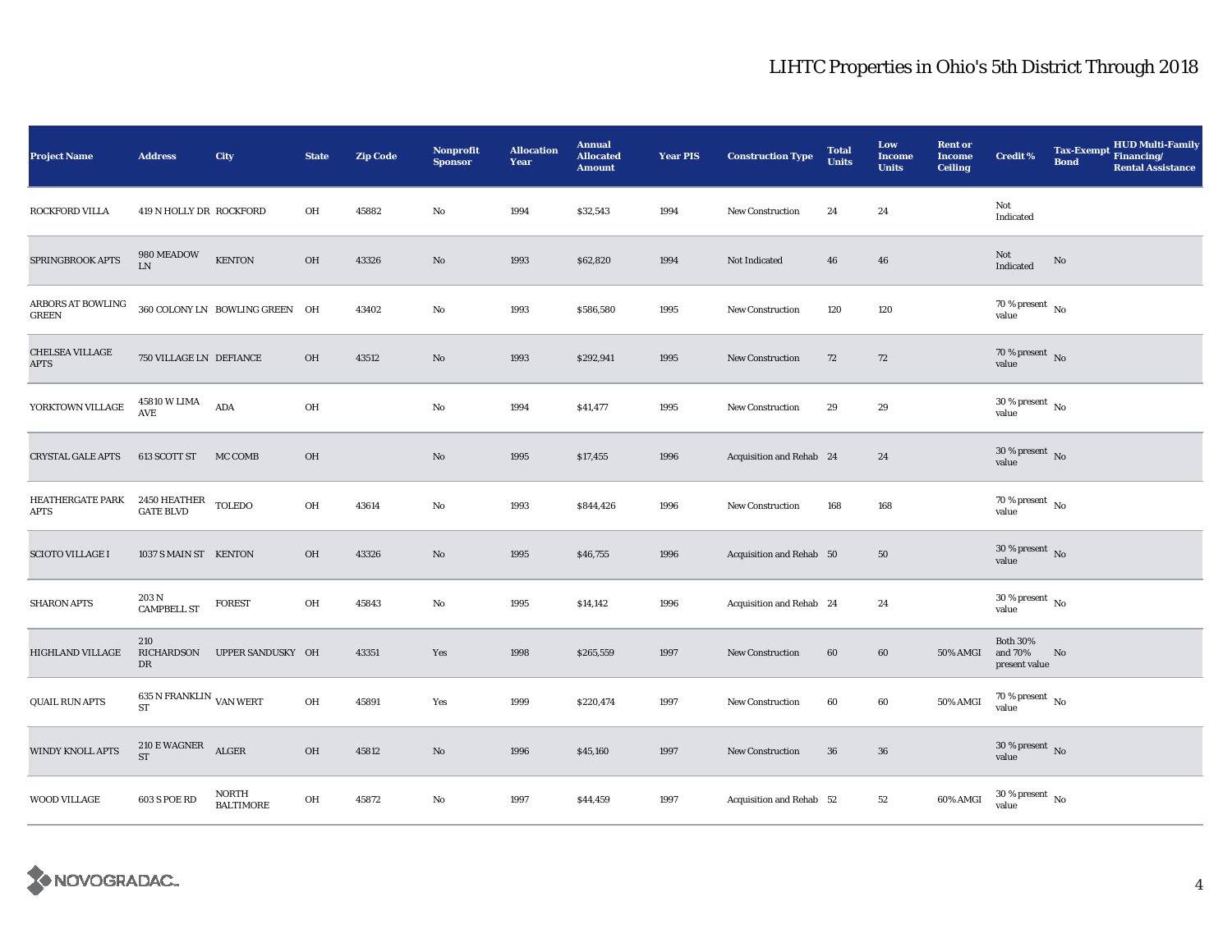| <b>Project Name</b>                   | <b>Address</b>                                 | City                           | <b>State</b>  | <b>Zip Code</b> | <b>Nonprofit</b><br><b>Sponsor</b> | <b>Allocation</b><br>Year | <b>Annual</b><br><b>Allocated</b><br><b>Amount</b> | <b>Year PIS</b> | <b>Construction Type</b> | <b>Total</b><br><b>Units</b> | Low<br><b>Income</b><br><b>Units</b> | <b>Rent or</b><br><b>Income</b><br><b>Ceiling</b> | <b>Credit %</b>                             | <b>Bond</b> | <b>HUD Multi-Family</b><br>Tax-Exempt Financing/<br><b>Rental Assistance</b> |
|---------------------------------------|------------------------------------------------|--------------------------------|---------------|-----------------|------------------------------------|---------------------------|----------------------------------------------------|-----------------|--------------------------|------------------------------|--------------------------------------|---------------------------------------------------|---------------------------------------------|-------------|------------------------------------------------------------------------------|
| <b>ROCKFORD VILLA</b>                 | 419 N HOLLY DR ROCKFORD                        |                                | OH            | 45882           | No                                 | 1994                      | \$32,543                                           | 1994            | <b>New Construction</b>  | 24                           | 24                                   |                                                   | Not<br>Indicated                            |             |                                                                              |
| SPRINGBROOK APTS                      | 980 MEADOW<br>${\rm LN}$                       | <b>KENTON</b>                  | OH            | 43326           | $\mathbf{No}$                      | 1993                      | \$62,820                                           | 1994            | Not Indicated            | 46                           | 46                                   |                                                   | Not<br>Indicated                            | $\rm No$    |                                                                              |
| ARBORS AT BOWLING<br><b>GREEN</b>     |                                                | 360 COLONY LN BOWLING GREEN OH |               | 43402           | No                                 | 1993                      | \$586,580                                          | 1995            | <b>New Construction</b>  | 120                          | 120                                  |                                                   | 70 % present $\hbox{~No}$<br>value          |             |                                                                              |
| <b>CHELSEA VILLAGE</b><br><b>APTS</b> | 750 VILLAGE LN DEFIANCE                        |                                | OH            | 43512           | $\mathbf{N}\mathbf{o}$             | 1993                      | \$292,941                                          | 1995            | New Construction         | 72                           | 72                                   |                                                   | $70\,\%$ present $${\rm No}$$ value         |             |                                                                              |
| YORKTOWN VILLAGE                      | 45810 W LIMA<br>$\operatorname{AVE}$           | ADA                            | OH            |                 | No                                 | 1994                      | \$41,477                                           | 1995            | <b>New Construction</b>  | 29                           | 29                                   |                                                   | $30\,\%$ present $\,$ No value              |             |                                                                              |
| <b>CRYSTAL GALE APTS</b>              | 613 SCOTT ST                                   | MC COMB                        | OH            |                 | No                                 | 1995                      | \$17,455                                           | 1996            | Acquisition and Rehab 24 |                              | 24                                   |                                                   | $30\,\%$ present $\,$ No value              |             |                                                                              |
| HEATHERGATE PARK<br>APTS              | $2450$ HEATHER $\,$ TOLEDO<br><b>GATE BLVD</b> |                                | OH            | 43614           | No                                 | 1993                      | \$844,426                                          | 1996            | New Construction         | 168                          | 168                                  |                                                   | $70\,\%$ present $\,$ No value              |             |                                                                              |
| <b>SCIOTO VILLAGE I</b>               | 1037 S MAIN ST KENTON                          |                                | OH            | 43326           | No                                 | 1995                      | \$46,755                                           | 1996            | Acquisition and Rehab 50 |                              | 50                                   |                                                   | $30\,\%$ present $\,$ No value              |             |                                                                              |
| <b>SHARON APTS</b>                    | 203 N<br><b>CAMPBELL ST</b>                    | <b>FOREST</b>                  | OH            | 45843           | No                                 | 1995                      | \$14,142                                           | 1996            | Acquisition and Rehab 24 |                              | 24                                   |                                                   | 30 % present $\hbox{~No}$<br>value          |             |                                                                              |
| <b>HIGHLAND VILLAGE</b>               | 210<br><b>RICHARDSON</b><br>DR                 | UPPER SANDUSKY OH              |               | 43351           | Yes                                | 1998                      | \$265,559                                          | 1997            | <b>New Construction</b>  | 60                           | 60                                   | <b>50% AMGI</b>                                   | <b>Both 30%</b><br>and 70%<br>present value | No          |                                                                              |
| <b>QUAIL RUN APTS</b>                 | 635 N FRANKLIN $\,$ VAN WERT<br><b>ST</b>      |                                | $\mathbf{OH}$ | 45891           | Yes                                | 1999                      | \$220,474                                          | 1997            | <b>New Construction</b>  | 60                           | 60                                   | 50% AMGI                                          | $70\,\%$ present $\,$ No value              |             |                                                                              |
| <b>WINDY KNOLL APTS</b>               | $210\to$ WAGNER ST                             | ALGER                          | OH            | 45812           | $\mathbf{No}$                      | 1996                      | \$45,160                                           | 1997            | <b>New Construction</b>  | 36                           | 36                                   |                                                   | $30\,\%$ present $\,$ No value              |             |                                                                              |
| <b>WOOD VILLAGE</b>                   | <b>603 S POE RD</b>                            | NORTH<br><b>BALTIMORE</b>      | OH            | 45872           | No                                 | 1997                      | \$44,459                                           | 1997            | Acquisition and Rehab 52 |                              | 52                                   | 60% AMGI                                          | $30$ % present $\,$ No value                |             |                                                                              |

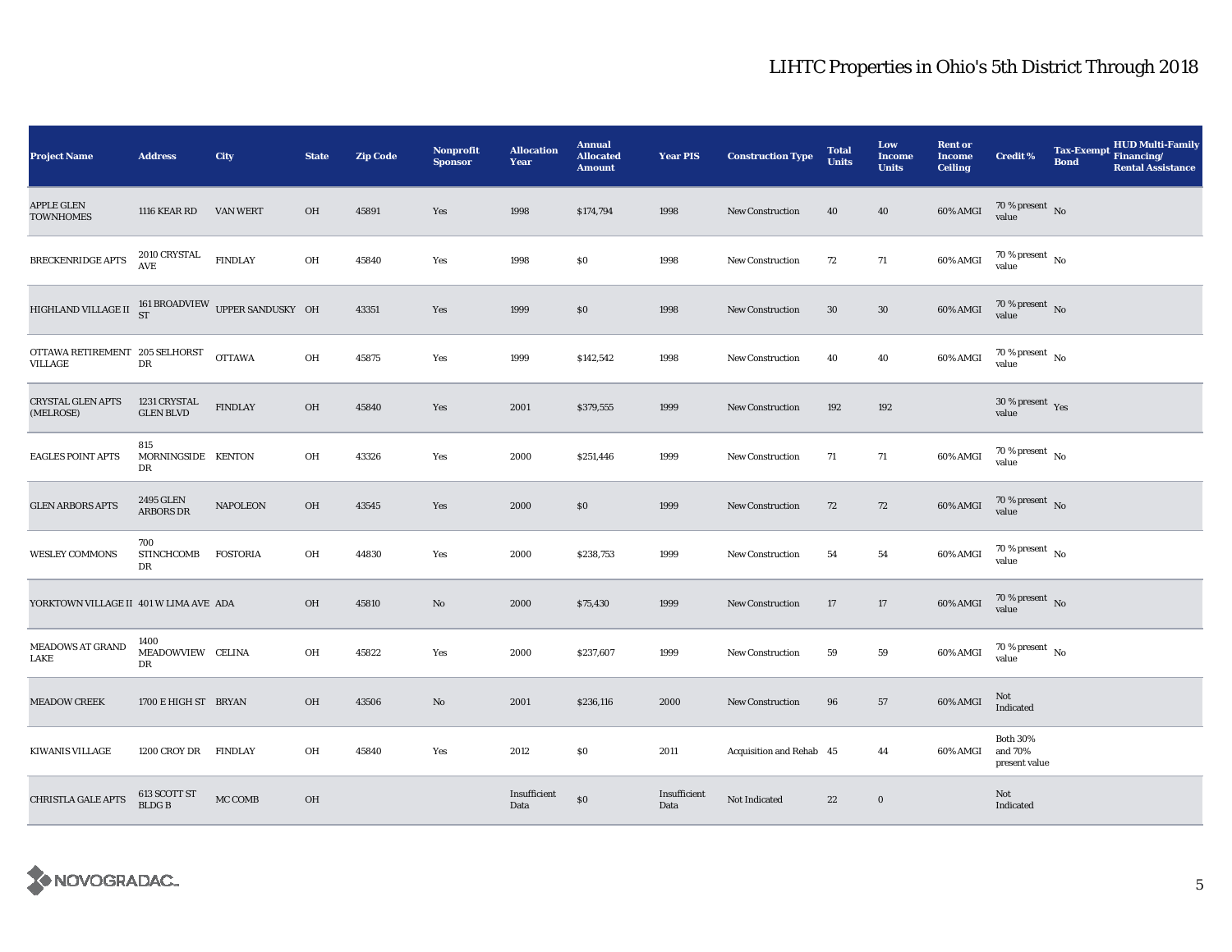| <b>Project Name</b>                                               | <b>Address</b>                   | City            | <b>State</b> | <b>Zip Code</b> | <b>Nonprofit</b><br><b>Sponsor</b> | <b>Allocation</b><br>Year | <b>Annual</b><br><b>Allocated</b><br><b>Amount</b> | <b>Year PIS</b>      | <b>Construction Type</b> | <b>Total</b><br><b>Units</b> | Low<br>Income<br><b>Units</b> | <b>Rent or</b><br><b>Income</b><br><b>Ceiling</b> | <b>Credit %</b>                             | <b>Tax-Exempt</b><br><b>Bond</b> | <b>HUD Multi-Family</b><br>Financing/<br><b>Rental Assistance</b> |
|-------------------------------------------------------------------|----------------------------------|-----------------|--------------|-----------------|------------------------------------|---------------------------|----------------------------------------------------|----------------------|--------------------------|------------------------------|-------------------------------|---------------------------------------------------|---------------------------------------------|----------------------------------|-------------------------------------------------------------------|
| <b>APPLE GLEN</b><br><b>TOWNHOMES</b>                             | 1116 KEAR RD                     | <b>VAN WERT</b> | OH           | 45891           | Yes                                | 1998                      | \$174,794                                          | 1998                 | <b>New Construction</b>  | 40                           | 40                            | 60% AMGI                                          | $70\,\%$ present $\,$ No value              |                                  |                                                                   |
| BRECKENRIDGE APTS                                                 | 2010 CRYSTAL<br>AVE              | <b>FINDLAY</b>  | OH           | 45840           | Yes                                | 1998                      | \$0                                                | 1998                 | <b>New Construction</b>  | 72                           | 71                            | 60% AMGI                                          | $70$ % present $\,$ No $\,$<br>value        |                                  |                                                                   |
| HIGHLAND VILLAGE II $_{\rm ST}^{161}$ BROADVIEW UPPER SANDUSKY OH |                                  |                 |              | 43351           | Yes                                | 1999                      | \$0\$                                              | 1998                 | New Construction         | 30                           | $30\,$                        | 60% AMGI                                          | $70\,\%$ present $\,$ No value              |                                  |                                                                   |
| OTTAWA RETIREMENT 205 SELHORST<br>VILLAGE                         | DR                               | <b>OTTAWA</b>   | OH           | 45875           | Yes                                | 1999                      | \$142,542                                          | 1998                 | <b>New Construction</b>  | 40                           | 40                            | 60% AMGI                                          | 70 % present $\hbox{~No}$<br>value          |                                  |                                                                   |
| <b>CRYSTAL GLEN APTS</b><br>(MELROSE)                             | 1231 CRYSTAL<br><b>GLEN BLVD</b> | <b>FINDLAY</b>  | OH           | 45840           | Yes                                | 2001                      | \$379,555                                          | 1999                 | <b>New Construction</b>  | 192                          | 192                           |                                                   | $30\,\%$ present $\,$ Yes value             |                                  |                                                                   |
| <b>EAGLES POINT APTS</b>                                          | 815<br>MORNINGSIDE KENTON<br>DR  |                 | OH           | 43326           | Yes                                | 2000                      | \$251,446                                          | 1999                 | <b>New Construction</b>  | 71                           | 71                            | 60% AMGI                                          | $70\,\%$ present $\,$ No value              |                                  |                                                                   |
| <b>GLEN ARBORS APTS</b>                                           | 2495 GLEN<br><b>ARBORS DR</b>    | <b>NAPOLEON</b> | OH           | 43545           | Yes                                | 2000                      | \$0                                                | 1999                 | <b>New Construction</b>  | 72                           | 72                            | 60% AMGI                                          | $70\,\%$ present $\,$ No value              |                                  |                                                                   |
| <b>WESLEY COMMONS</b>                                             | 700<br><b>STINCHCOMB</b><br>DR   | <b>FOSTORIA</b> | OH           | 44830           | Yes                                | 2000                      | \$238,753                                          | 1999                 | <b>New Construction</b>  | 54                           | 54                            | 60% AMGI                                          | $70\,\%$ present $\,$ No value              |                                  |                                                                   |
| YORKTOWN VILLAGE II 401 W LIMA AVE ADA                            |                                  |                 | OH           | 45810           | No                                 | 2000                      | \$75,430                                           | 1999                 | <b>New Construction</b>  | 17                           | 17                            | 60% AMGI                                          | $70\,\%$ present $\,$ No value              |                                  |                                                                   |
| <b>MEADOWS AT GRAND</b><br>LAKE                                   | 1400<br>MEADOWVIEW CELINA<br>DR  |                 | OH           | 45822           | Yes                                | 2000                      | \$237,607                                          | 1999                 | New Construction         | 59                           | 59                            | 60% AMGI                                          | 70 % present $\hbox{~No}$<br>value          |                                  |                                                                   |
| <b>MEADOW CREEK</b>                                               | 1700 E HIGH ST BRYAN             |                 | OH           | 43506           | No                                 | 2001                      | \$236,116                                          | 2000                 | <b>New Construction</b>  | 96                           | 57                            | 60% AMGI                                          | Not<br>Indicated                            |                                  |                                                                   |
| <b>KIWANIS VILLAGE</b>                                            | 1200 CROY DR FINDLAY             |                 | OH           | 45840           | Yes                                | 2012                      | \$0                                                | 2011                 | Acquisition and Rehab 45 |                              | 44                            | 60% AMGI                                          | <b>Both 30%</b><br>and 70%<br>present value |                                  |                                                                   |
| <b>CHRISTLA GALE APTS</b>                                         | 613 SCOTT ST<br>BLDG B           | MC COMB         | OH           |                 |                                    | Insufficient<br>Data      | $\$0$                                              | Insufficient<br>Data | Not Indicated            | 22                           | $\bf{0}$                      |                                                   | Not<br>Indicated                            |                                  |                                                                   |

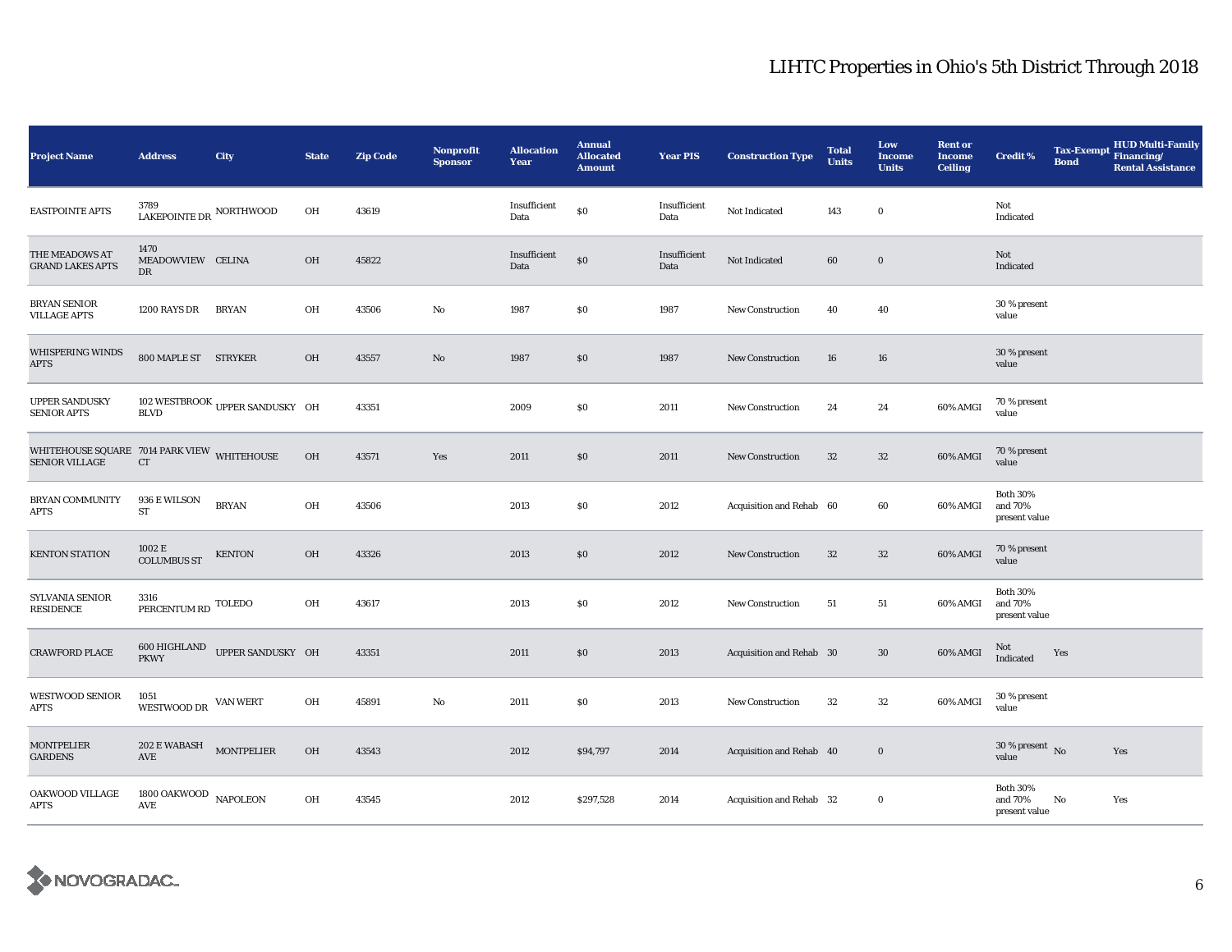| <b>Project Name</b>                                                  | <b>Address</b>                                       | City                            | <b>State</b>  | <b>Zip Code</b> | <b>Nonprofit</b><br><b>Sponsor</b> | <b>Allocation</b><br>Year | <b>Annual</b><br><b>Allocated</b><br><b>Amount</b> | <b>Year PIS</b>      | <b>Construction Type</b> | <b>Total</b><br><b>Units</b> | Low<br><b>Income</b><br><b>Units</b> | <b>Rent or</b><br><b>Income</b><br><b>Ceiling</b> | <b>Credit %</b>                             | <b>Tax-Exempt</b><br><b>Bond</b> | <b>HUD Multi-Family</b><br>Financing/<br><b>Rental Assistance</b> |
|----------------------------------------------------------------------|------------------------------------------------------|---------------------------------|---------------|-----------------|------------------------------------|---------------------------|----------------------------------------------------|----------------------|--------------------------|------------------------------|--------------------------------------|---------------------------------------------------|---------------------------------------------|----------------------------------|-------------------------------------------------------------------|
| <b>EASTPOINTE APTS</b>                                               | 3789<br>LAKEPOINTE DR NORTHWOOD                      |                                 | OH            | 43619           |                                    | Insufficient<br>Data      | $\$0$                                              | Insufficient<br>Data | Not Indicated            | 143                          | $\bf{0}$                             |                                                   | Not<br>Indicated                            |                                  |                                                                   |
| THE MEADOWS AT<br><b>GRAND LAKES APTS</b>                            | 1470<br>MEADOWVIEW CELINA<br>DR                      |                                 | OH            | 45822           |                                    | Insufficient<br>Data      | $\$0$                                              | Insufficient<br>Data | Not Indicated            | 60                           | $\mathbf 0$                          |                                                   | Not<br>Indicated                            |                                  |                                                                   |
| <b>BRYAN SENIOR</b><br><b>VILLAGE APTS</b>                           | 1200 RAYS DR                                         | <b>BRYAN</b>                    | OH            | 43506           | No                                 | 1987                      | $\$0$                                              | 1987                 | New Construction         | 40                           | 40                                   |                                                   | 30 % present<br>value                       |                                  |                                                                   |
| <b>WHISPERING WINDS</b><br><b>APTS</b>                               | 800 MAPLE ST STRYKER                                 |                                 | OH            | 43557           | $\rm No$                           | 1987                      | \$0                                                | 1987                 | New Construction         | 16                           | 16                                   |                                                   | 30 % present<br>value                       |                                  |                                                                   |
| <b>UPPER SANDUSKY</b><br><b>SENIOR APTS</b>                          | <b>BLVD</b>                                          | 102 WESTBROOK UPPER SANDUSKY OH |               | 43351           |                                    | 2009                      | \$0                                                | 2011                 | <b>New Construction</b>  | 24                           | 24                                   | 60% AMGI                                          | 70 % present<br>value                       |                                  |                                                                   |
| WHITEHOUSE SQUARE 7014 PARK VIEW WHITEHOUSE<br><b>SENIOR VILLAGE</b> | <b>CT</b>                                            |                                 | $O\mathrm{H}$ | 43571           | Yes                                | 2011                      | $\$0$                                              | 2011                 | New Construction         | 32                           | $32\,$                               | 60% AMGI                                          | 70 % present<br>value                       |                                  |                                                                   |
| <b>BRYAN COMMUNITY</b><br>APTS                                       | 936 E WILSON<br>${\rm ST}$                           | <b>BRYAN</b>                    | OH            | 43506           |                                    | 2013                      | \$0                                                | 2012                 | Acquisition and Rehab 60 |                              | 60                                   | 60% AMGI                                          | <b>Both 30%</b><br>and 70%<br>present value |                                  |                                                                   |
| <b>KENTON STATION</b>                                                | 1002 E<br><b>COLUMBUS ST</b>                         | <b>KENTON</b>                   | OH            | 43326           |                                    | 2013                      | \$0                                                | 2012                 | <b>New Construction</b>  | 32                           | $32\,$                               | 60% AMGI                                          | 70 % present<br>value                       |                                  |                                                                   |
| SYLVANIA SENIOR<br>RESIDENCE                                         | 3316<br>PERCENTUM RD TOLEDO                          |                                 | OH            | 43617           |                                    | 2013                      | \$0                                                | 2012                 | New Construction         | 51                           | 51                                   | 60% AMGI                                          | <b>Both 30%</b><br>and 70%<br>present value |                                  |                                                                   |
| <b>CRAWFORD PLACE</b>                                                | <b>PKWY</b>                                          | 600 HIGHLAND UPPER SANDUSKY OH  |               | 43351           |                                    | 2011                      | \$0                                                | 2013                 | Acquisition and Rehab 30 |                              | $30\,$                               | 60% AMGI                                          | Not<br>Indicated                            | Yes                              |                                                                   |
| <b>WESTWOOD SENIOR</b><br>APTS                                       | 1051<br>WESTWOOD DR VAN WERT                         |                                 | OH            | 45891           | No                                 | 2011                      | \$0                                                | 2013                 | New Construction         | 32                           | $32\,$                               | 60% AMGI                                          | 30 % present<br>value                       |                                  |                                                                   |
| <b>MONTPELIER</b><br><b>GARDENS</b>                                  | $202\to$ WABASH MONTPELIER<br>$\operatorname{AVE}$   |                                 | $O\mathrm{H}$ | 43543           |                                    | 2012                      | \$94,797                                           | 2014                 | Acquisition and Rehab 40 |                              | $\boldsymbol{0}$                     |                                                   | $30$ % present $\,$ No $\,$<br>value        |                                  | Yes                                                               |
| OAKWOOD VILLAGE<br>APTS                                              | $1800$ OAKWOOD $\,$ NAPOLEON<br>$\operatorname{AVE}$ |                                 | OH            | 43545           |                                    | 2012                      | \$297,528                                          | 2014                 | Acquisition and Rehab 32 |                              | $\bf{0}$                             |                                                   | <b>Both 30%</b><br>and 70%<br>present value | No                               | Yes                                                               |

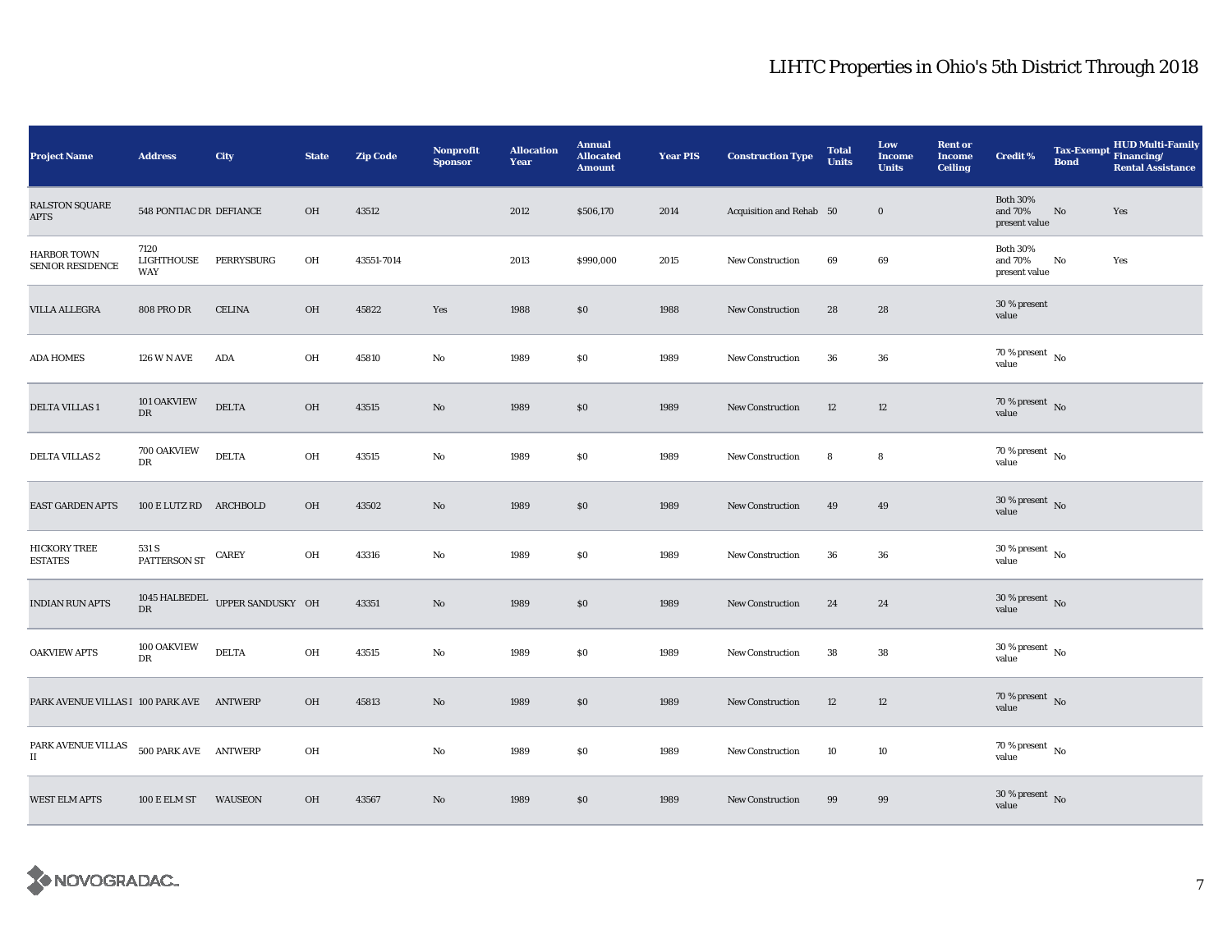| <b>Project Name</b>                                                       | <b>Address</b>            | City                            | <b>State</b> | <b>Zip Code</b> | <b>Nonprofit</b><br><b>Sponsor</b> | <b>Allocation</b><br>Year | <b>Annual</b><br><b>Allocated</b><br><b>Amount</b> | <b>Year PIS</b> | <b>Construction Type</b> | <b>Total</b><br><b>Units</b> | Low<br><b>Income</b><br><b>Units</b> | <b>Rent or</b><br><b>Income</b><br><b>Ceiling</b> | <b>Credit %</b>                             | Tax-Exempt Financing/<br><b>Bond</b> | <b>HUD Multi-Family</b><br><b>Rental Assistance</b> |
|---------------------------------------------------------------------------|---------------------------|---------------------------------|--------------|-----------------|------------------------------------|---------------------------|----------------------------------------------------|-----------------|--------------------------|------------------------------|--------------------------------------|---------------------------------------------------|---------------------------------------------|--------------------------------------|-----------------------------------------------------|
| <b>RALSTON SQUARE</b><br>APTS                                             | 548 PONTIAC DR DEFIANCE   |                                 | OH           | 43512           |                                    | 2012                      | \$506,170                                          | 2014            | Acquisition and Rehab 50 |                              | $\bf{0}$                             |                                                   | <b>Both 30%</b><br>and 70%<br>present value | No                                   | Yes                                                 |
| <b>HARBOR TOWN</b><br><b>SENIOR RESIDENCE</b>                             | 7120<br>LIGHTHOUSE<br>WAY | PERRYSBURG                      | OH           | 43551-7014      |                                    | 2013                      | \$990,000                                          | 2015            | <b>New Construction</b>  | 69                           | 69                                   |                                                   | <b>Both 30%</b><br>and 70%<br>present value | No                                   | Yes                                                 |
| VILLA ALLEGRA                                                             | <b>808 PRO DR</b>         | <b>CELINA</b>                   | OH           | 45822           | Yes                                | 1988                      | S <sub>0</sub>                                     | 1988            | New Construction         | 28                           | 28                                   |                                                   | 30 % present<br>value                       |                                      |                                                     |
| <b>ADA HOMES</b>                                                          | <b>126 W N AVE</b>        | ADA                             | OH           | 45810           | No                                 | 1989                      | \$0                                                | 1989            | <b>New Construction</b>  | 36                           | 36                                   |                                                   | $70\,\%$ present $\,$ No value              |                                      |                                                     |
| DELTA VILLAS 1                                                            | 101 OAKVIEW<br>${\rm DR}$ | <b>DELTA</b>                    | OH           | 43515           | $\mathbf{No}$                      | 1989                      | $\$0$                                              | 1989            | New Construction         | 12                           | 12                                   |                                                   | $70\,\%$ present $\,$ No value              |                                      |                                                     |
| <b>DELTA VILLAS 2</b>                                                     | 700 OAKVIEW<br>DR         | <b>DELTA</b>                    | OH           | 43515           | $\mathbf{No}$                      | 1989                      | \$0                                                | 1989            | <b>New Construction</b>  | 8                            | 8                                    |                                                   | 70 % present $\,$ No $\,$<br>value          |                                      |                                                     |
| EAST GARDEN APTS                                                          | 100 E LUTZ RD ARCHBOLD    |                                 | OH           | 43502           | $\mathbf{N}\mathbf{o}$             | 1989                      | $\$0$                                              | 1989            | <b>New Construction</b>  | 49                           | 49                                   |                                                   | $30\,\%$ present $\,$ No value              |                                      |                                                     |
| <b>HICKORY TREE</b><br><b>ESTATES</b>                                     | 531 S<br>PATTERSON ST     | <b>CAREY</b>                    | OH           | 43316           | $\mathbf{No}$                      | 1989                      | $\$0$                                              | 1989            | <b>New Construction</b>  | 36                           | 36                                   |                                                   | $30\,\%$ present $\,$ No value              |                                      |                                                     |
| <b>INDIAN RUN APTS</b>                                                    | $_{\rm DR}$               | 1045 HALBEDEL UPPER SANDUSKY OH |              | 43351           | No                                 | 1989                      | \$0                                                | 1989            | New Construction         | 24                           | 24                                   |                                                   | 30 % present $\overline{N}$<br>value        |                                      |                                                     |
| <b>OAKVIEW APTS</b>                                                       | 100 OAKVIEW<br>DR         | <b>DELTA</b>                    | OH           | 43515           | No                                 | 1989                      | \$0                                                | 1989            | <b>New Construction</b>  | 38                           | 38                                   |                                                   | $30\,\%$ present $\,$ No $\,$<br>value      |                                      |                                                     |
| PARK AVENUE VILLAS I 100 PARK AVE                                         |                           | ANTWERP                         | OH           | 45813           | No                                 | 1989                      | \$0                                                | 1989            | <b>New Construction</b>  | 12                           | 12                                   |                                                   | $70\,\%$ present $\,$ No value              |                                      |                                                     |
| $\ensuremath{\mathsf{PARK}}\xspace$ AVENUE VILLAS<br>$\scriptstyle\rm II$ | 500 PARK AVE ANTWERP      |                                 | OH           |                 | No                                 | 1989                      | \$0                                                | 1989            | New Construction         | 10                           | 10                                   |                                                   | 70 % present $\hbox{~No}$<br>value          |                                      |                                                     |
| <b>WEST ELM APTS</b>                                                      | <b>100 E ELM ST</b>       | <b>WAUSEON</b>                  | OH           | 43567           | $\mathbf{N}\mathbf{o}$             | 1989                      | \$0                                                | 1989            | New Construction         | 99                           | 99                                   |                                                   | $30\,\%$ present $\,$ No value              |                                      |                                                     |